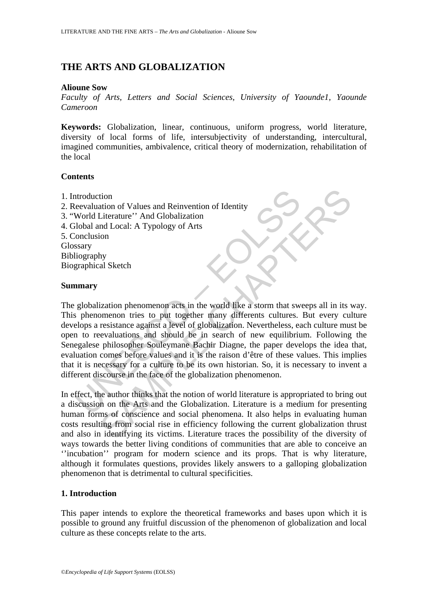# **THE ARTS AND GLOBALIZATION**

#### **Alioune Sow**

*Faculty of Arts, Letters and Social Sciences, University of Yaounde1, Yaounde Cameroon* 

**Keywords:** Globalization, linear, continuous, uniform progress, world literature, diversity of local forms of life, intersubjectivity of understanding, intercultural, imagined communities, ambivalence, critical theory of modernization, rehabilitation of the local

## **Contents**

- 1. Introduction
- 2. Reevaluation of Values and Reinvention of Identity
- 3. "World Literature'' And Globalization
- 4. Global and Local: A Typology of Arts

5. Conclusion

Glossary Bibliography

Biographical Sketch

#### **Summary**

ntroduction<br>
eevaluation of Values and Reinvention of Identity<br>
World Literature'' And Globalization<br>
olobal and Local: A Typology of Arts<br>
scary<br>
stary<br>
iography<br>
graphical Sketch<br> **marry**<br>
globalization phenomenon acts i tion<br>
Literature'' And Globalization<br>
Infl. Local: A Typology of Arts<br>
Ind Local: A Typology of Arts<br>
Ind Local: A Typology of Arts<br>
Intimeral Chaptain<br>
Intimeral Sketch<br>
Intimeral Sketch<br>
Intimeral Sketch<br>
Intimeral Sketc The globalization phenomenon acts in the world like a storm that sweeps all in its way. This phenomenon tries to put together many differents cultures. But every culture develops a resistance against a level of globalization. Nevertheless, each culture must be open to reevaluations and should be in search of new equilibrium. Following the Senegalese philosopher Souleymane Bachir Diagne, the paper develops the idea that, evaluation comes before values and it is the raison d'être of these values. This implies that it is necessary for a culture to be its own historian. So, it is necessary to invent a different discourse in the face of the globalization phenomenon.

In effect, the author thinks that the notion of world literature is appropriated to bring out a discussion on the Arts and the Globalization. Literature is a medium for presenting human forms of conscience and social phenomena. It also helps in evaluating human costs resulting from social rise in efficiency following the current globalization thrust and also in identifying its victims. Literature traces the possibility of the diversity of ways towards the better living conditions of communities that are able to conceive an ''incubation'' program for modern science and its props. That is why literature, although it formulates questions, provides likely answers to a galloping globalization phenomenon that is detrimental to cultural specificities.

## **1. Introduction**

This paper intends to explore the theoretical frameworks and bases upon which it is possible to ground any fruitful discussion of the phenomenon of globalization and local culture as these concepts relate to the arts.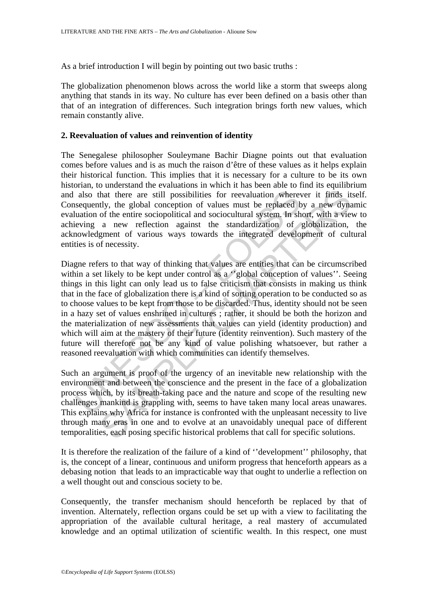As a brief introduction I will begin by pointing out two basic truths :

The globalization phenomenon blows across the world like a storm that sweeps along anything that stands in its way. No culture has ever been defined on a basis other than that of an integration of differences. Such integration brings forth new values, which remain constantly alive.

#### **2. Reevaluation of values and reinvention of identity**

The Senegalese philosopher Souleymane Bachir Diagne points out that evaluation comes before values and is as much the raison d'être of these values as it helps explain their historical function. This implies that it is necessary for a culture to be its own historian, to understand the evaluations in which it has been able to find its equilibrium and also that there are still possibilities for reevaluation wherever it finds itself. Consequently, the global conception of values must be replaced by a new dynamic evaluation of the entire sociopolitical and sociocultural system. In short, with a view to achieving a new reflection against the standardization of globalization, the acknowledgment of various ways towards the integrated development of cultural entities is of necessity.

also that there are still possibilities for reevaluation where<br>sequently, the global conception of values must be replaced b<br>uation of the entire sociopolitical and sociocultural system. In sh<br>eving a new reflection agains hat there are still possibilities for reevaluation wherever it finds it tly, the global conception of values must be replaced by a new dyna of the entire sociopolitical and sociocultural system. In short, with a view of a Diagne refers to that way of thinking that values are entities that can be circumscribed within a set likely to be kept under control as a "global conception of values". Seeing things in this light can only lead us to false criticism that consists in making us think that in the face of globalization there is a kind of sorting operation to be conducted so as to choose values to be kept from those to be discarded. Thus, identity should not be seen in a hazy set of values enshrined in cultures ; rather, it should be both the horizon and the materialization of new assessments that values can yield (identity production) and which will aim at the mastery of their future (identity reinvention). Such mastery of the future will therefore not be any kind of value polishing whatsoever, but rather a reasoned reevaluation with which communities can identify themselves.

Such an argument is proof of the urgency of an inevitable new relationship with the environment and between the conscience and the present in the face of a globalization process which, by its breath-taking pace and the nature and scope of the resulting new challenges mankind is grappling with, seems to have taken many local areas unawares. This explains why Africa for instance is confronted with the unpleasant necessity to live through many eras in one and to evolve at an unavoidably unequal pace of different temporalities, each posing specific historical problems that call for specific solutions.

It is therefore the realization of the failure of a kind of ''development'' philosophy, that is, the concept of a linear, continuous and uniform progress that henceforth appears as a debasing notion that leads to an impracticable way that ought to underlie a reflection on a well thought out and conscious society to be.

Consequently, the transfer mechanism should henceforth be replaced by that of invention. Alternately, reflection organs could be set up with a view to facilitating the appropriation of the available cultural heritage, a real mastery of accumulated knowledge and an optimal utilization of scientific wealth. In this respect, one must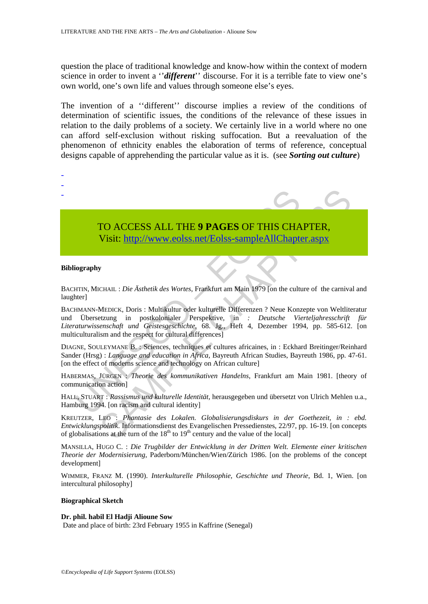question the place of traditional knowledge and know-how within the context of modern science in order to invent a ''*different*'' discourse. For it is a terrible fate to view one's own world, one's own life and values through someone else's eyes.

The invention of a ''different'' discourse implies a review of the conditions of determination of scientific issues, the conditions of the relevance of these issues in relation to the daily problems of a society. We certainly live in a world where no one can afford self-exclusion without risking suffocation. But a reevaluation of the phenomenon of ethnicity enables the elaboration of terms of reference, conceptual designs capable of apprehending the particular value as it is. (see *Sorting out culture*)

# TO ACCESS ALL THE **9 PAGES** OF THIS CHAPTER,

Visit: http://www.eolss.net/Eolss-sampleAllChapter.aspx

#### **Bibliography**

- - -

BACHTIN, MICHAIL : *Die Ästhetik des Wortes*, Frankfurt am Main 1979 [on the culture of the carnival and laughter]

TO ACCESS ALL THE 9 PAGES OF THIS CHA<br>
Visit: http://www.eolss.net/Eolss-sampleAllChapte<br>
iography<br>
iography<br>
HTIN, MICHAIL : *Die Ästhetik des Wortes*, Frankfurt am Main 1979 [on the culture]<br>
INTER, MICHAIL : *Die Ästhet* **TO ACCESS ALL THE 9 PAGES OF THIS CHA[PTER](https://www.eolss.net/ebooklib/sc_cart.aspx?File=E6-24-06-02),**<br>
Visit:  $\frac{\text{http://www.eolss.net/Eolss-sampleAllChapter aspx}}{\text{http://www.eolss.net/Eolss-sampleAllChapter aspx}}$ <br>
y<br>
y<br>
CHAIL: *Die Ästhetik des Wortes*, Frankfurt am Main 1979 [on the culture of the carniva<br>
MEDICK, Doris : Multikult BACHMANN-MEDICK, Doris : Multikultur oder kulturelle Differenzen ? Neue Konzepte von Weltliteratur und Übersetzung in postkolonialer Perspektive, in *: Deutsche Vierteljahresschrift für Literaturwissenschaft und Geistesgeschichte*, 68. Jg., Heft 4, Dezember 1994, pp. 585-612. [on multiculturalism and the respect for cultural differences]

DIAGNE, SOULEYMANE B. : Sciences, techniques et cultures africaines, in : Eckhard Breitinger/Reinhard Sander (Hrsg) : *Language and education in Africa*, Bayreuth African Studies, Bayreuth 1986, pp. 47-61. [on the effect of moderns science and technology on African culture]

HABERMAS, JÜRGEN : *Theorie des kommunikativen Handelns*, Frankfurt am Main 1981. [theory of communication action]

HALL, STUART : *Rassismus und kulturelle Identität,* herausgegeben und übersetzt von Ulrich Mehlen u.a., Hamburg 1994. [on racism and cultural identity]

KREUTZER, LEO : *Phantasie des Lokalen. Globalisierungsdiskurs in der Goethezeit, in : ebd. Entwicklungspolitik*. Informationsdienst des Evangelischen Pressedienstes, 22/97, pp. 16-19. [on concepts of globalisations at the turn of the  $18<sup>th</sup>$  to  $19<sup>th</sup>$  century and the value of the local]

MANSILLA, HUGO C. : *Die Trugbilder der Entwicklung in der Dritten Welt. Elemente einer kritischen Theorie der Modernisierung,* Paderborn/München/Wien/Zürich 1986. [on the problems of the concept development]

WIMMER, FRANZ M. (1990). *Interkulturelle Philosophie, Geschichte und Theorie*, Bd. 1, Wien. [on intercultural philosophy]

#### **Biographical Sketch**

**Dr. phil. habil El Hadji Alioune Sow** Date and place of birth: 23rd February 1955 in Kaffrine (Senegal)